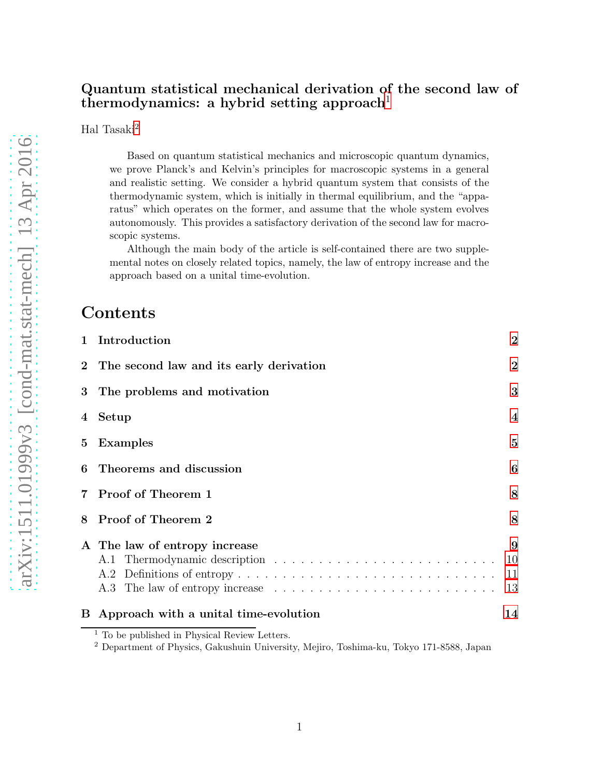#### Quantum statistical mechanical derivation of the second law of thermodynamics: a hybrid setting approach<sup>[1](#page-0-0)</sup>

Hal Tasaki<sup>[2](#page-0-1)</sup>

Based on quantum statistical mechanics and microscopic quantum dynamics, we prove Planck's and Kelvin's principles for macroscopic systems in a general and realistic setting. We consider a hybrid quantum system that consists of the thermodynamic system, which is initially in thermal equilibrium, and the "apparatus" which operates on the former, and assume that the whole system evolves autonomously. This provides a satisfactory derivation of the second law for macroscopic systems.

Although the main body of the article is self-contained there are two supplemental notes on closely related topics, namely, the law of entropy increase and the approach based on a unital time-evolution.

### Contents

| B.             | Approach with a unital time-evolution   | 14                  |
|----------------|-----------------------------------------|---------------------|
|                | A The law of entropy increase           | 9<br>10<br>11<br>13 |
| 8              | Proof of Theorem 2                      | 8                   |
| $\overline{7}$ | Proof of Theorem 1                      | 8                   |
| 6              | Theorems and discussion                 | 6                   |
| 5              | Examples                                | 5                   |
| 4              | Setup                                   | $\overline{4}$      |
| 3              | The problems and motivation             | 3                   |
| $\overline{2}$ | The second law and its early derivation | $\overline{2}$      |
| $\mathbf{1}$   | Introduction                            | $\bf{2}$            |

<sup>&</sup>lt;sup>1</sup> To be published in Physical Review Letters.

<span id="page-0-1"></span><span id="page-0-0"></span><sup>2</sup> Department of Physics, Gakushuin University, Mejiro, Toshima-ku, Tokyo 171-8588, Japan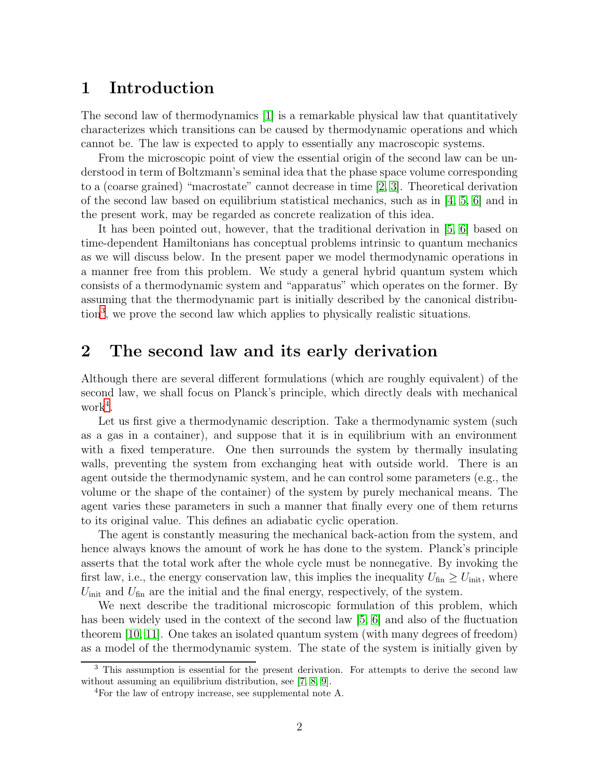### <span id="page-1-0"></span>1 Introduction

The second law of thermodynamics [\[1\]](#page-15-0) is a remarkable physical law that quantitatively characterizes which transitions can be caused by thermodynamic operations and which cannot be. The law is expected to apply to essentially any macroscopic systems.

From the microscopic point of view the essential origin of the second law can be understood in term of Boltzmann's seminal idea that the phase space volume corresponding to a (coarse grained) "macrostate" cannot decrease in time [\[2,](#page-15-1) [3\]](#page-15-2). Theoretical derivation of the second law based on equilibrium statistical mechanics, such as in  $[4, 5, 6]$  $[4, 5, 6]$  $[4, 5, 6]$  and in the present work, may be regarded as concrete realization of this idea.

It has been pointed out, however, that the traditional derivation in [\[5,](#page-15-4) [6\]](#page-15-5) based on time-dependent Hamiltonians has conceptual problems intrinsic to quantum mechanics as we will discuss below. In the present paper we model thermodynamic operations in a manner free from this problem. We study a general hybrid quantum system which consists of a thermodynamic system and "apparatus" which operates on the former. By assuming that the thermodynamic part is initially described by the canonical distribution[3](#page-1-2) , we prove the second law which applies to physically realistic situations.

## <span id="page-1-1"></span>2 The second law and its early derivation

Although there are several different formulations (which are roughly equivalent) of the second law, we shall focus on Planck's principle, which directly deals with mechanical  $work<sup>4</sup>$  $work<sup>4</sup>$  $work<sup>4</sup>$ .

Let us first give a thermodynamic description. Take a thermodynamic system (such as a gas in a container), and suppose that it is in equilibrium with an environment with a fixed temperature. One then surrounds the system by thermally insulating walls, preventing the system from exchanging heat with outside world. There is an agent outside the thermodynamic system, and he can control some parameters (e.g., the volume or the shape of the container) of the system by purely mechanical means. The agent varies these parameters in such a manner that finally every one of them returns to its original value. This defines an adiabatic cyclic operation.

The agent is constantly measuring the mechanical back-action from the system, and hence always knows the amount of work he has done to the system. Planck's principle asserts that the total work after the whole cycle must be nonnegative. By invoking the first law, i.e., the energy conservation law, this implies the inequality  $U_{fin} \geq U_{init}$ , where  $U_{\text{init}}$  and  $U_{\text{fin}}$  are the initial and the final energy, respectively, of the system.

We next describe the traditional microscopic formulation of this problem, which has been widely used in the context of the second law [\[5,](#page-15-4) [6\]](#page-15-5) and also of the fluctuation theorem [\[10,](#page-15-6) [11\]](#page-15-7). One takes an isolated quantum system (with many degrees of freedom) as a model of the thermodynamic system. The state of the system is initially given by

<sup>&</sup>lt;sup>3</sup> This assumption is essential for the present derivation. For attempts to derive the second law without assuming an equilibrium distribution, see [\[7,](#page-15-8) [8,](#page-15-9) [9\]](#page-15-10).

<span id="page-1-3"></span><span id="page-1-2"></span><sup>&</sup>lt;sup>4</sup>For the law of entropy increase, see supplemental note A.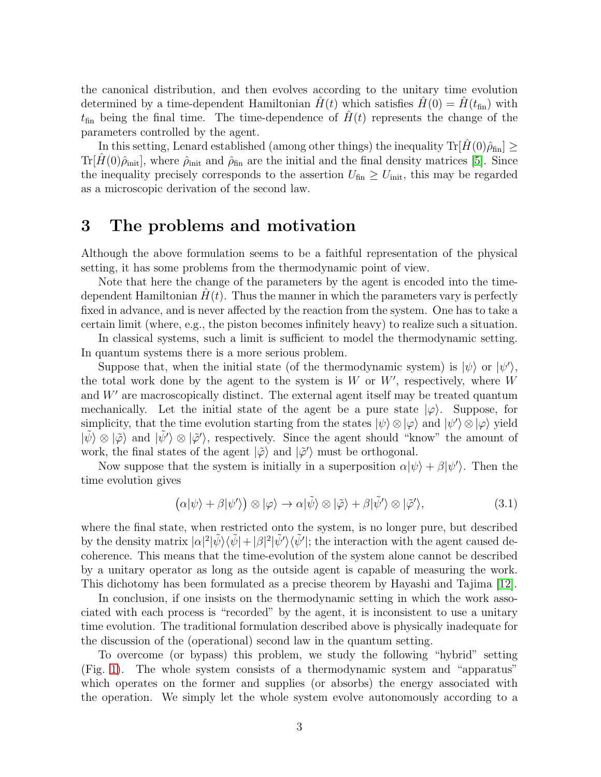the canonical distribution, and then evolves according to the unitary time evolution determined by a time-dependent Hamiltonian  $H(t)$  which satisfies  $H(0) = H(t_{fin})$  with  $t_{fin}$  being the final time. The time-dependence of  $\hat{H}(t)$  represents the change of the parameters controlled by the agent.

In this setting, Lenard established (among other things) the inequality  $\text{Tr}[\hat{H}(0)\hat{\rho}_{fin}] \ge$  $\text{Tr}[\hat{H}(0)\hat{\rho}_{\text{init}}]$ , where  $\hat{\rho}_{\text{init}}$  and  $\hat{\rho}_{\text{fin}}$  are the initial and the final density matrices [\[5\]](#page-15-4). Since the inequality precisely corresponds to the assertion  $U_{fin} \geq U_{init}$ , this may be regarded as a microscopic derivation of the second law.

### <span id="page-2-0"></span>3 The problems and motivation

Although the above formulation seems to be a faithful representation of the physical setting, it has some problems from the thermodynamic point of view.

Note that here the change of the parameters by the agent is encoded into the timedependent Hamiltonian  $H(t)$ . Thus the manner in which the parameters vary is perfectly fixed in advance, and is never affected by the reaction from the system. One has to take a certain limit (where, e.g., the piston becomes infinitely heavy) to realize such a situation.

In classical systems, such a limit is sufficient to model the thermodynamic setting. In quantum systems there is a more serious problem.

Suppose that, when the initial state (of the thermodynamic system) is  $|\psi\rangle$  or  $|\psi'\rangle$ , the total work done by the agent to the system is  $W$  or  $W'$ , respectively, where  $W$ and  $W'$  are macroscopically distinct. The external agent itself may be treated quantum mechanically. Let the initial state of the agent be a pure state  $|\varphi\rangle$ . Suppose, for simplicity, that the time evolution starting from the states  $|\psi\rangle \otimes |\varphi\rangle$  and  $|\psi'\rangle \otimes |\varphi\rangle$  yield  $|\tilde{\psi}\rangle \otimes |\tilde{\varphi}\rangle$  and  $|\tilde{\psi}'\rangle \otimes |\tilde{\varphi}'\rangle$ , respectively. Since the agent should "know" the amount of work, the final states of the agent  $|\tilde{\varphi}\rangle$  and  $|\tilde{\varphi}'\rangle$  must be orthogonal.

Now suppose that the system is initially in a superposition  $\alpha|\psi\rangle + \beta|\psi'\rangle$ . Then the time evolution gives

$$
(\alpha|\psi\rangle + \beta|\psi'\rangle) \otimes |\varphi\rangle \to \alpha|\tilde{\psi}\rangle \otimes |\tilde{\varphi}\rangle + \beta|\tilde{\psi}'\rangle \otimes |\tilde{\varphi}'\rangle, \tag{3.1}
$$

where the final state, when restricted onto the system, is no longer pure, but described by the density matrix  $|\alpha|^2 |\tilde{\psi}\rangle\langle \tilde{\psi}| + |\beta|^2 |\tilde{\psi}'\rangle\langle \tilde{\psi}'|$ ; the interaction with the agent caused decoherence. This means that the time-evolution of the system alone cannot be described by a unitary operator as long as the outside agent is capable of measuring the work. This dichotomy has been formulated as a precise theorem by Hayashi and Tajima [\[12\]](#page-16-0).

In conclusion, if one insists on the thermodynamic setting in which the work associated with each process is "recorded" by the agent, it is inconsistent to use a unitary time evolution. The traditional formulation described above is physically inadequate for the discussion of the (operational) second law in the quantum setting.

To overcome (or bypass) this problem, we study the following "hybrid" setting (Fig. [1\)](#page-3-1). The whole system consists of a thermodynamic system and "apparatus" which operates on the former and supplies (or absorbs) the energy associated with the operation. We simply let the whole system evolve autonomously according to a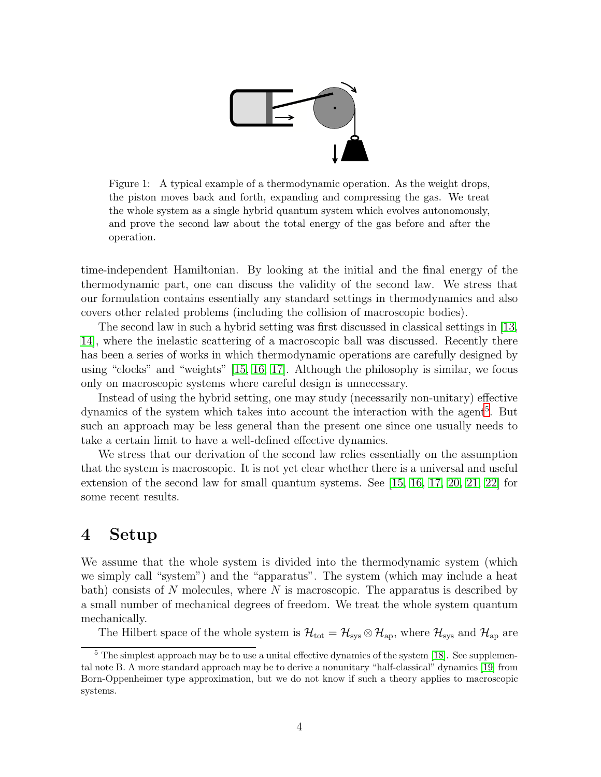

Figure 1: A typical example of a thermodynamic operation. As the weight drops, the piston moves back and forth, expanding and compressing the gas. We treat the whole system as a single hybrid quantum system which evolves autonomously, and prove the second law about the total energy of the gas before and after the operation.

<span id="page-3-1"></span>time-independent Hamiltonian. By looking at the initial and the final energy of the thermodynamic part, one can discuss the validity of the second law. We stress that our formulation contains essentially any standard settings in thermodynamics and also covers other related problems (including the collision of macroscopic bodies).

The second law in such a hybrid setting was first discussed in classical settings in [\[13,](#page-16-1) [14\]](#page-16-2), where the inelastic scattering of a macroscopic ball was discussed. Recently there has been a series of works in which thermodynamic operations are carefully designed by using "clocks" and "weights" [\[15,](#page-16-3) [16,](#page-16-4) [17\]](#page-16-5). Although the philosophy is similar, we focus only on macroscopic systems where careful design is unnecessary.

Instead of using the hybrid setting, one may study (necessarily non-unitary) effective dynamics of the system which takes into account the interaction with the agent<sup>[5](#page-3-2)</sup>. But such an approach may be less general than the present one since one usually needs to take a certain limit to have a well-defined effective dynamics.

We stress that our derivation of the second law relies essentially on the assumption that the system is macroscopic. It is not yet clear whether there is a universal and useful extension of the second law for small quantum systems. See [\[15,](#page-16-3) [16,](#page-16-4) [17,](#page-16-5) [20,](#page-16-6) [21,](#page-16-7) [22\]](#page-16-8) for some recent results.

## <span id="page-3-0"></span>4 Setup

We assume that the whole system is divided into the thermodynamic system (which we simply call "system") and the "apparatus". The system (which may include a heat bath) consists of  $N$  molecules, where  $N$  is macroscopic. The apparatus is described by a small number of mechanical degrees of freedom. We treat the whole system quantum mechanically.

The Hilbert space of the whole system is  $\mathcal{H}_{\text{tot}} = \mathcal{H}_{\text{sys}} \otimes \mathcal{H}_{\text{ap}}$ , where  $\mathcal{H}_{\text{sys}}$  and  $\mathcal{H}_{\text{ap}}$  are

<span id="page-3-2"></span><sup>&</sup>lt;sup>5</sup> The simplest approach may be to use a unital effective dynamics of the system [\[18\]](#page-16-9). See supplemental note B. A more standard approach may be to derive a nonunitary "half-classical" dynamics [\[19\]](#page-16-10) from Born-Oppenheimer type approximation, but we do not know if such a theory applies to macroscopic systems.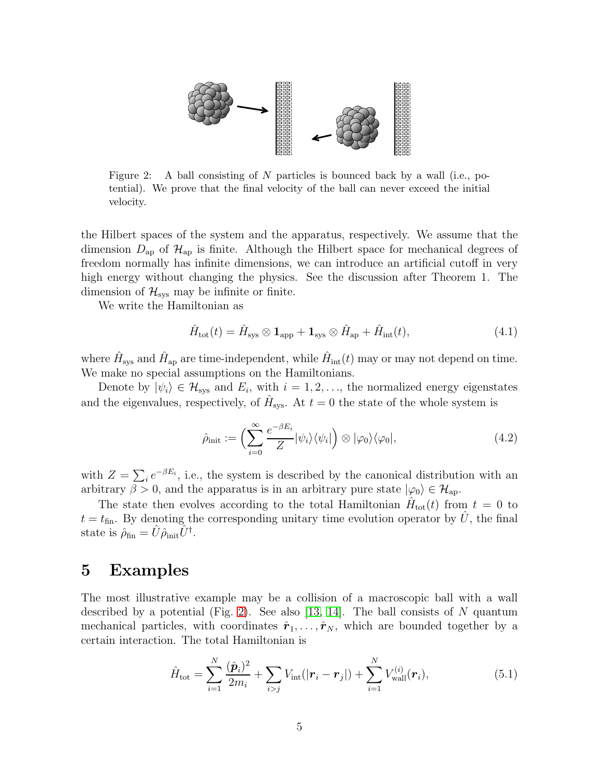

<span id="page-4-1"></span>Figure 2: A ball consisting of N particles is bounced back by a wall (i.e., potential). We prove that the final velocity of the ball can never exceed the initial velocity.

the Hilbert spaces of the system and the apparatus, respectively. We assume that the dimension  $D_{ap}$  of  $\mathcal{H}_{ap}$  is finite. Although the Hilbert space for mechanical degrees of freedom normally has infinite dimensions, we can introduce an artificial cutoff in very high energy without changing the physics. See the discussion after Theorem 1. The dimension of  $\mathcal{H}_{\text{sys}}$  may be infinite or finite.

We write the Hamiltonian as

$$
\hat{H}_{\text{tot}}(t) = \hat{H}_{\text{sys}} \otimes \mathbf{1}_{\text{app}} + \mathbf{1}_{\text{sys}} \otimes \hat{H}_{\text{ap}} + \hat{H}_{\text{int}}(t), \tag{4.1}
$$

where  $\hat{H}_{\text{sys}}$  and  $\hat{H}_{\text{ap}}$  are time-independent, while  $\hat{H}_{\text{int}}(t)$  may or may not depend on time. We make no special assumptions on the Hamiltonians.

Denote by  $|\psi_i\rangle \in \mathcal{H}_{\text{sys}}$  and  $E_i$ , with  $i = 1, 2, \ldots$ , the normalized energy eigenstates and the eigenvalues, respectively, of  $\hat{H}_{\text{sys}}$ . At  $t = 0$  the state of the whole system is

<span id="page-4-2"></span>
$$
\hat{\rho}_{\text{init}} := \left( \sum_{i=0}^{\infty} \frac{e^{-\beta E_i}}{Z} |\psi_i\rangle \langle \psi_i| \right) \otimes |\varphi_0\rangle \langle \varphi_0|, \tag{4.2}
$$

with  $Z = \sum_i e^{-\beta E_i}$ , i.e., the system is described by the canonical distribution with an arbitrary  $\beta > 0$ , and the apparatus is in an arbitrary pure state  $|\varphi_0\rangle \in \mathcal{H}_{ap}$ .

The state then evolves according to the total Hamiltonian  $\hat{H}_{\text{tot}}(t)$  from  $t = 0$  to  $t = t_{fin}$ . By denoting the corresponding unitary time evolution operator by  $\hat{U}$ , the final state is  $\hat{\rho}_{fin} = \hat{U}\hat{\rho}_{init}\hat{U}^{\dagger}$ .

#### <span id="page-4-0"></span>5 Examples

The most illustrative example may be a collision of a macroscopic ball with a wall described by a potential (Fig. [2\)](#page-4-1). See also [\[13,](#page-16-1) [14\]](#page-16-2). The ball consists of N quantum mechanical particles, with coordinates  $\hat{r}_1, \ldots, \hat{r}_N$ , which are bounded together by a certain interaction. The total Hamiltonian is

$$
\hat{H}_{\text{tot}} = \sum_{i=1}^{N} \frac{(\hat{\boldsymbol{p}}_i)^2}{2m_i} + \sum_{i>j} V_{\text{int}}(|\boldsymbol{r}_i - \boldsymbol{r}_j|) + \sum_{i=1}^{N} V_{\text{wall}}^{(i)}(\boldsymbol{r}_i),
$$
\n(5.1)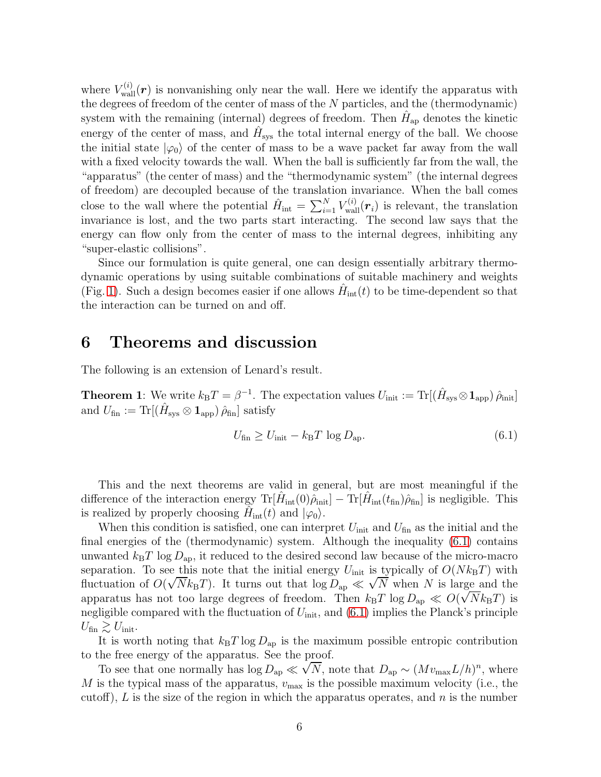where  $V_{\text{wall}}^{(i)}(\boldsymbol{r})$  is nonvanishing only near the wall. Here we identify the apparatus with the degrees of freedom of the center of mass of the N particles, and the (thermodynamic) system with the remaining (internal) degrees of freedom. Then  $\hat{H}_{\text{ap}}$  denotes the kinetic energy of the center of mass, and  $\hat{H}_{\text{sys}}$  the total internal energy of the ball. We choose the initial state  $|\varphi_0\rangle$  of the center of mass to be a wave packet far away from the wall with a fixed velocity towards the wall. When the ball is sufficiently far from the wall, the "apparatus" (the center of mass) and the "thermodynamic system" (the internal degrees of freedom) are decoupled because of the translation invariance. When the ball comes close to the wall where the potential  $\hat{H}_{int} = \sum_{i=1}^{N} V_{wall}^{(i)}(\mathbf{r}_i)$  is relevant, the translation invariance is lost, and the two parts start interacting. The second law says that the energy can flow only from the center of mass to the internal degrees, inhibiting any "super-elastic collisions".

Since our formulation is quite general, one can design essentially arbitrary thermodynamic operations by using suitable combinations of suitable machinery and weights (Fig. [1\)](#page-3-1). Such a design becomes easier if one allows  $\hat{H}_{int}(t)$  to be time-dependent so that the interaction can be turned on and off.

#### <span id="page-5-0"></span>6 Theorems and discussion

The following is an extension of Lenard's result.

**Theorem 1**: We write  $k_{\text{B}}T = \beta^{-1}$ . The expectation values  $U_{\text{init}} := \text{Tr}[(\hat{H}_{\text{sys}} \otimes \mathbf{1}_{\text{app}}) \hat{\rho}_{\text{init}}]$ and  $U_{\text{fin}} := \text{Tr}[(\hat{H}_{\text{sys}} \otimes \mathbf{1}_{\text{app}}) \hat{\rho}_{\text{fin}}]$  satisfy

<span id="page-5-1"></span>
$$
U_{\text{fin}} \ge U_{\text{init}} - k_{\text{B}}T \log D_{\text{ap}}.\tag{6.1}
$$

This and the next theorems are valid in general, but are most meaningful if the difference of the interaction energy  $\text{Tr}[\hat{H}_{\text{int}}(0)\hat{\rho}_{\text{init}}] - \text{Tr}[\hat{H}_{\text{int}}(t_{\text{fin}})\hat{\rho}_{\text{fin}}]$  is negligible. This is realized by properly choosing  $\hat{H}_{int}(t)$  and  $|\varphi_0\rangle$ .

When this condition is satisfied, one can interpret  $U_{\text{init}}$  and  $U_{\text{fin}}$  as the initial and the final energies of the (thermodynamic) system. Although the inequality [\(6.1\)](#page-5-1) contains unwanted  $k_BT \log D_{ap}$ , it reduced to the desired second law because of the micro-macro separation. To see this note that the initial energy  $U_{\text{init}}$  is typically of  $O(Nk_BT)$  with fluctuation of  $O(\sqrt{N}k_BT)$ . It turns out that  $\log D_{\text{ap}} \ll \sqrt{N}$  when N is large and the apparatus has not too large degrees of freedom. Then  $k_B T \log D_{\rm ap} \ll O(\sqrt{N} k_B T)$  is negligible compared with the fluctuation of  $U_{\text{init}}$ , and  $(6.1)$  implies the Planck's principle  $U_{\text{fin}} \gtrsim U_{\text{init}}$ .

It is worth noting that  $k_BT \log D_{ap}$  is the maximum possible entropic contribution to the free energy of the apparatus. See the proof.

To see that one normally has  $\log D_{\rm ap} \ll \sqrt{N}$ , note that  $D_{\rm ap} \sim (Mv_{\rm max}L/h)^n$ , where M is the typical mass of the apparatus,  $v_{\text{max}}$  is the possible maximum velocity (i.e., the cutoff), L is the size of the region in which the apparatus operates, and  $n$  is the number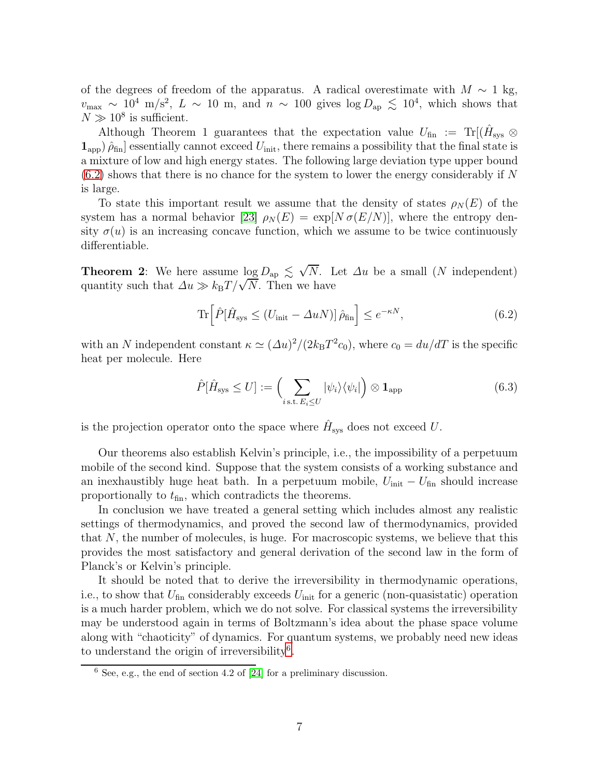of the degrees of freedom of the apparatus. A radical overestimate with  $M \sim 1$  kg,  $v_{\text{max}} \sim 10^4 \text{ m/s}^2$ ,  $L \sim 10 \text{ m}$ , and  $n \sim 100 \text{ gives } \log D_{\text{ap}} \lesssim 10^4$ , which shows that  $N \gg 10^8$  is sufficient.

Although Theorem 1 guarantees that the expectation value  $U_{\text{fin}} := {\rm Tr}[(\hat{H}_{\text{sys}} \otimes$  $(1_{\rm app})\,\hat{\rho}_{\rm fin}$  essentially cannot exceed  $U_{\rm init}$ , there remains a possibility that the final state is a mixture of low and high energy states. The following large deviation type upper bound  $(6.2)$  shows that there is no chance for the system to lower the energy considerably if N is large.

To state this important result we assume that the density of states  $\rho_N(E)$  of the system has a normal behavior [\[23\]](#page-16-11)  $\rho_N(E) = \exp[N \sigma(E/N)]$ , where the entropy density  $\sigma(u)$  is an increasing concave function, which we assume to be twice continuously differentiable.

**Theorem 2:** We here assume  $\log D_{\rm ap} \leq \sqrt{N}$ . Let  $\Delta u$  be a small (N independent) quantity such that  $\Delta u \gg k_{\rm B}T/\sqrt{N}$ . Then we have

<span id="page-6-0"></span>
$$
\operatorname{Tr}\left[\hat{P}[\hat{H}_{\text{sys}} \le (U_{\text{init}} - \Delta u N)] \hat{\rho}_{\text{fin}}\right] \le e^{-\kappa N},\tag{6.2}
$$

with an N independent constant  $\kappa \simeq (\Delta u)^2/(2k_{\rm B}T^2c_0)$ , where  $c_0 = du/dT$  is the specific heat per molecule. Here

$$
\hat{P}[\hat{H}_{\text{sys}} \le U] := \left(\sum_{i \text{ s.t. } E_i \le U} |\psi_i\rangle\langle\psi_i| \right) \otimes \mathbf{1}_{\text{app}} \tag{6.3}
$$

is the projection operator onto the space where  $\hat{H}_{\text{sys}}$  does not exceed U.

Our theorems also establish Kelvin's principle, i.e., the impossibility of a perpetuum mobile of the second kind. Suppose that the system consists of a working substance and an inexhaustibly huge heat bath. In a perpetuum mobile,  $U_{\text{init}} - U_{\text{fin}}$  should increase proportionally to  $t_{fin}$ , which contradicts the theorems.

In conclusion we have treated a general setting which includes almost any realistic settings of thermodynamics, and proved the second law of thermodynamics, provided that N, the number of molecules, is huge. For macroscopic systems, we believe that this provides the most satisfactory and general derivation of the second law in the form of Planck's or Kelvin's principle.

It should be noted that to derive the irreversibility in thermodynamic operations, i.e., to show that  $U_{fin}$  considerably exceeds  $U_{init}$  for a generic (non-quasistatic) operation is a much harder problem, which we do not solve. For classical systems the irreversibility may be understood again in terms of Boltzmann's idea about the phase space volume along with "chaoticity" of dynamics. For quantum systems, we probably need new ideas to understand the origin of irreversibility<sup>[6](#page-6-1)</sup>.

<span id="page-6-1"></span> $6$  See, e.g., the end of section 4.2 of [\[24\]](#page-17-0) for a preliminary discussion.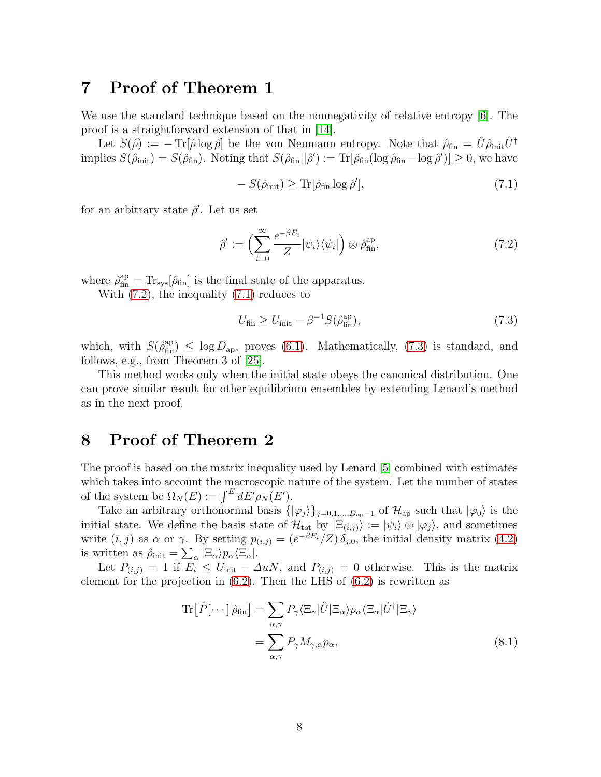## <span id="page-7-0"></span>7 Proof of Theorem 1

We use the standard technique based on the nonnegativity of relative entropy [\[6\]](#page-15-5). The proof is a straightforward extension of that in [\[14\]](#page-16-2).

Let  $S(\hat{\rho}) := - \text{Tr}[\hat{\rho} \log \hat{\rho}]$  be the von Neumann entropy. Note that  $\hat{\rho}_{fin} = \hat{U} \hat{\rho}_{init} \hat{U}^{\dagger}$ implies  $S(\hat{\rho}_{\text{init}}) = S(\hat{\rho}_{\text{fin}})$ . Noting that  $S(\hat{\rho}_{\text{fin}}||\hat{\rho}') := \text{Tr}[\hat{\rho}_{\text{fin}}(\log \hat{\rho}_{\text{fin}} - \log \hat{\rho}')] \ge 0$ , we have

<span id="page-7-3"></span>
$$
-S(\hat{\rho}_{\text{init}}) \ge \text{Tr}[\hat{\rho}_{\text{fin}} \log \hat{\rho}'], \tag{7.1}
$$

for an arbitrary state  $\hat{\rho}'$ . Let us set

<span id="page-7-2"></span>
$$
\hat{\rho}' := \left(\sum_{i=0}^{\infty} \frac{e^{-\beta E_i}}{Z} |\psi_i\rangle \langle \psi_i| \right) \otimes \hat{\rho}_{\text{fin}}^{\text{ap}},\tag{7.2}
$$

where  $\hat{\rho}_{\text{fin}}^{\text{ap}} = \text{Tr}_{\text{sys}}[\hat{\rho}_{\text{fin}}]$  is the final state of the apparatus.

With [\(7.2\)](#page-7-2), the inequality [\(7.1\)](#page-7-3) reduces to

<span id="page-7-4"></span>
$$
U_{\text{fin}} \ge U_{\text{init}} - \beta^{-1} S(\hat{\rho}_{\text{fin}}^{\text{ap}}),\tag{7.3}
$$

which, with  $S(\hat{\rho}_{fin}^{ap}) \leq \log D_{ap}$ , proves [\(6.1\)](#page-5-1). Mathematically, [\(7.3\)](#page-7-4) is standard, and follows, e.g., from Theorem 3 of [\[25\]](#page-17-1).

This method works only when the initial state obeys the canonical distribution. One can prove similar result for other equilibrium ensembles by extending Lenard's method as in the next proof.

# <span id="page-7-1"></span>8 Proof of Theorem 2

The proof is based on the matrix inequality used by Lenard [\[5\]](#page-15-4) combined with estimates which takes into account the macroscopic nature of the system. Let the number of states of the system be  $\Omega_N(E) := \int^E dE' \rho_N(E').$ 

Take an arbitrary orthonormal basis  $\{|\varphi_j\rangle\}_{j=0,1,\dots,D_{ap}-1}$  of  $\mathcal{H}_{ap}$  such that  $|\varphi_0\rangle$  is the initial state. We define the basis state of  $\mathcal{H}_{\text{tot}}$  by  $|\Xi_{(i,j)}\rangle := |\psi_i\rangle \otimes |\varphi_j\rangle$ , and sometimes write  $(i, j)$  as  $\alpha$  or  $\gamma$ . By setting  $p_{(i,j)} = (e^{-\beta E_i}/Z) \delta_{j,0}$ , the initial density matrix [\(4.2\)](#page-4-2) is written as  $\hat{\rho}_{\text{init}} = \sum_{\alpha} |\Xi_{\alpha}\rangle p_{\alpha} \langle \Xi_{\alpha}|.$ 

Let  $P_{(i,j)} = 1$  if  $E_i \leq U_{\text{init}} - \Delta u N$ , and  $P_{(i,j)} = 0$  otherwise. This is the matrix element for the projection in [\(6.2\)](#page-6-0). Then the LHS of [\(6.2\)](#page-6-0) is rewritten as

$$
\operatorname{Tr}\left[\hat{P}[\cdots]\hat{\rho}_{\text{fin}}\right] = \sum_{\alpha,\gamma} P_{\gamma} \langle \Xi_{\gamma} | \hat{U} | \Xi_{\alpha} \rangle p_{\alpha} \langle \Xi_{\alpha} | \hat{U}^{\dagger} | \Xi_{\gamma} \rangle
$$

$$
= \sum_{\alpha,\gamma} P_{\gamma} M_{\gamma,\alpha} p_{\alpha}, \tag{8.1}
$$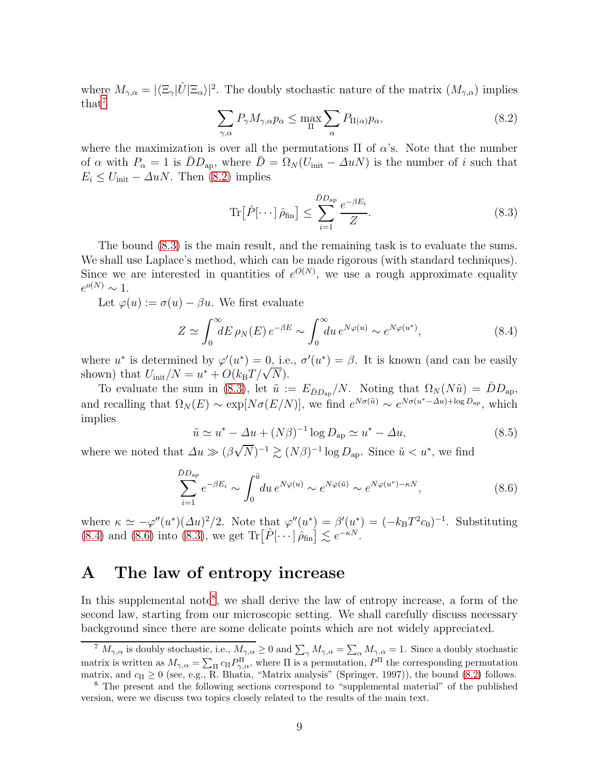where  $M_{\gamma,\alpha} = |\langle \Xi_{\gamma} | \hat{U} | \Xi_{\alpha} \rangle|^2$ . The doubly stochastic nature of the matrix  $(M_{\gamma,\alpha})$  implies that<sup>[7](#page-8-1)</sup>

<span id="page-8-2"></span>
$$
\sum_{\gamma,\alpha} P_{\gamma} M_{\gamma,\alpha} p_{\alpha} \le \max_{\Pi} \sum_{\alpha} P_{\Pi(\alpha)} p_{\alpha},\tag{8.2}
$$

where the maximization is over all the permutations  $\Pi$  of  $\alpha$ 's. Note that the number of  $\alpha$  with  $P_{\alpha} = 1$  is  $\bar{D}D_{ap}$ , where  $\bar{D} = \Omega_N(U_{\text{init}} - \Delta uN)$  is the number of i such that  $E_i \leq U_{\text{init}} - \Delta u N$ . Then [\(8.2\)](#page-8-2) implies

<span id="page-8-3"></span>
$$
\operatorname{Tr}\left[\hat{P}[\cdots]\hat{\rho}_{\text{fin}}\right] \le \sum_{i=1}^{\bar{D}D_{\text{ap}}} \frac{e^{-\beta E_i}}{Z}.\tag{8.3}
$$

The bound [\(8.3\)](#page-8-3) is the main result, and the remaining task is to evaluate the sums. We shall use Laplace's method, which can be made rigorous (with standard techniques). Since we are interested in quantities of  $e^{O(N)}$ , we use a rough approximate equality  $e^{o(N)} \sim 1.$ 

Let  $\varphi(u) := \sigma(u) - \beta u$ . We first evaluate

<span id="page-8-4"></span>
$$
Z \simeq \int_0^\infty dE \,\rho_N(E) \, e^{-\beta E} \sim \int_0^\infty du \, e^{N\varphi(u)} \sim e^{N\varphi(u^*)},\tag{8.4}
$$

where  $u^*$  is determined by  $\varphi'(u^*) = 0$ , i.e.,  $\sigma'(u^*) = \beta$ . It is known (and can be easily shown) that  $U_{\text{init}}/N = u^* + O(k_B T/\sqrt{N}).$ 

To evaluate the sum in [\(8.3\)](#page-8-3), let  $\tilde{u} := E_{\bar{D}D_{ap}}/N$ . Noting that  $\Omega_N(N\tilde{u}) = \bar{D}D_{ap}$ , and recalling that  $\Omega_N(E) \sim \exp[N\sigma(E/N)]$ , we find  $e^{N\sigma(\tilde{u})} \sim e^{N\sigma(u^* - \Delta u) + \log D_{\rm ap}}$ , which implies

<span id="page-8-5"></span>
$$
\tilde{u} \simeq u^* - \Delta u + (N\beta)^{-1} \log D_{\text{ap}} \simeq u^* - \Delta u,\tag{8.5}
$$

where we noted that  $\Delta u \gg (\beta \sqrt{N})^{-1} \gtrsim (N\beta)^{-1} \log D_{\text{ap}}$ . Since  $\tilde{u} < u^*$ , we find

$$
\sum_{i=1}^{\bar{D}D_{\rm ap}} e^{-\beta E_i} \sim \int_0^{\tilde{u}} du \, e^{N\varphi(u)} \sim e^{N\varphi(\tilde{u})} \sim e^{N\varphi(u^*) - \kappa N},\tag{8.6}
$$

where  $\kappa \simeq -\varphi''(u^*)(\Delta u)^2/2$ . Note that  $\varphi''(u^*) = \beta'(u^*) = (-k_B T^2 c_0)^{-1}$ . Substituting [\(8.4\)](#page-8-4) and [\(8.6\)](#page-8-5) into [\(8.3\)](#page-8-3), we get  $\text{Tr}\left[\hat{P}[\cdots]\hat{\rho}_{\text{fin}}\right] \lesssim e^{-\kappa N}$ .

# <span id="page-8-0"></span>A The law of entropy increase

In this supplemental note<sup>[8](#page-8-6)</sup>, we shall derive the law of entropy increase, a form of the second law, starting from our microscopic setting. We shall carefully discuss necessary background since there are some delicate points which are not widely appreciated.

<span id="page-8-1"></span><sup>&</sup>lt;sup>7</sup>  $M_{\gamma,\alpha}$  is doubly stochastic, i.e.,  $M_{\gamma,\alpha} \geq 0$  and  $\sum_{\gamma} M_{\gamma,\alpha} = \sum_{\alpha} M_{\gamma,\alpha} = 1$ . Since a doubly stochastic matrix is written as  $M_{\gamma,\alpha} = \sum_{\Pi} c_{\Pi} P_{\gamma,\alpha}^{\Pi}$ , where  $\Pi$  is a permutation,  $P^{\Pi}$  the corresponding permutation matrix, and  $c_{\Pi} \geq 0$  (see, e.g., R. Bhatia, "Matrix analysis" (Springer, 1997)), the bound [\(8.2\)](#page-8-2) follows.

<span id="page-8-6"></span><sup>8</sup> The present and the following sections correspond to "supplemental material" of the published version, were we discuss two topics closely related to the results of the main text.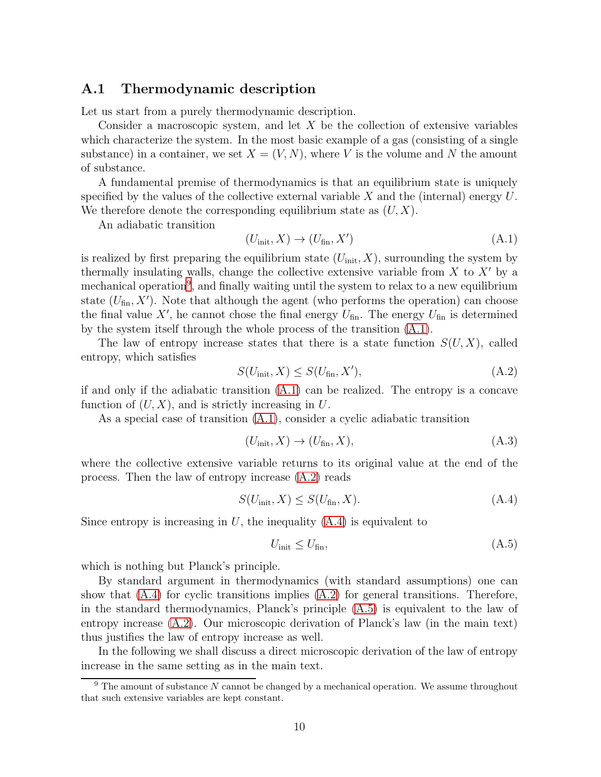#### <span id="page-9-0"></span>A.1 Thermodynamic description

Let us start from a purely thermodynamic description.

Consider a macroscopic system, and let  $X$  be the collection of extensive variables which characterize the system. In the most basic example of a gas (consisting of a single substance) in a container, we set  $X = (V, N)$ , where V is the volume and N the amount of substance.

A fundamental premise of thermodynamics is that an equilibrium state is uniquely specified by the values of the collective external variable X and the (internal) energy  $U$ . We therefore denote the corresponding equilibrium state as  $(U, X)$ .

An adiabatic transition

<span id="page-9-2"></span>
$$
(U_{\text{init}}, X) \to (U_{\text{fin}}, X') \tag{A.1}
$$

is realized by first preparing the equilibrium state  $(U_{\text{init}}, X)$ , surrounding the system by thermally insulating walls, change the collective extensive variable from  $X$  to  $X'$  by a mechanical operation<sup>[9](#page-9-1)</sup>, and finally waiting until the system to relax to a new equilibrium state  $(U_{fin}, X')$ . Note that although the agent (who performs the operation) can choose the final value X', he cannot chose the final energy  $U_{fin}$ . The energy  $U_{fin}$  is determined by the system itself through the whole process of the transition [\(A.1\)](#page-9-2).

The law of entropy increase states that there is a state function  $S(U, X)$ , called entropy, which satisfies

<span id="page-9-3"></span>
$$
S(U_{\text{init}}, X) \le S(U_{\text{fin}}, X'), \tag{A.2}
$$

if and only if the adiabatic transition [\(A.1\)](#page-9-2) can be realized. The entropy is a concave function of  $(U, X)$ , and is strictly increasing in U.

As a special case of transition [\(A.1\)](#page-9-2), consider a cyclic adiabatic transition

<span id="page-9-6"></span>
$$
(U_{\text{init}}, X) \to (U_{\text{fin}}, X), \tag{A.3}
$$

where the collective extensive variable returns to its original value at the end of the process. Then the law of entropy increase [\(A.2\)](#page-9-3) reads

<span id="page-9-4"></span>
$$
S(U_{\text{init}}, X) \le S(U_{\text{fin}}, X). \tag{A.4}
$$

Since entropy is increasing in  $U$ , the inequality  $(A.4)$  is equivalent to

<span id="page-9-5"></span>
$$
U_{\text{init}} \le U_{\text{fin}},\tag{A.5}
$$

which is nothing but Planck's principle.

By standard argument in thermodynamics (with standard assumptions) one can show that  $(A.4)$  for cyclic transitions implies  $(A.2)$  for general transitions. Therefore, in the standard thermodynamics, Planck's principle [\(A.5\)](#page-9-5) is equivalent to the law of entropy increase [\(A.2\)](#page-9-3). Our microscopic derivation of Planck's law (in the main text) thus justifies the law of entropy increase as well.

In the following we shall discuss a direct microscopic derivation of the law of entropy increase in the same setting as in the main text.

<span id="page-9-1"></span> $9$  The amount of substance N cannot be changed by a mechanical operation. We assume throughout that such extensive variables are kept constant.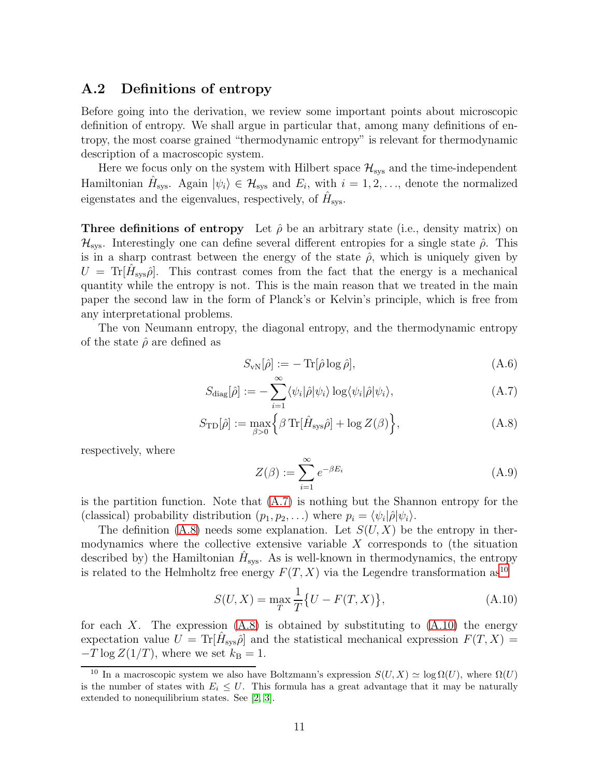#### <span id="page-10-0"></span>A.2 Definitions of entropy

Before going into the derivation, we review some important points about microscopic definition of entropy. We shall argue in particular that, among many definitions of entropy, the most coarse grained "thermodynamic entropy" is relevant for thermodynamic description of a macroscopic system.

Here we focus only on the system with Hilbert space  $\mathcal{H}_{\text{sys}}$  and the time-independent Hamiltonian  $\hat{H}_{\text{sys}}$ . Again  $|\psi_i\rangle \in \mathcal{H}_{\text{sys}}$  and  $E_i$ , with  $i = 1, 2, \ldots$ , denote the normalized eigenstates and the eigenvalues, respectively, of  $\hat{H}_{\text{sys}}$ .

**Three definitions of entropy** Let  $\hat{\rho}$  be an arbitrary state (i.e., density matrix) on  $\mathcal{H}_{\text{sys}}$ . Interestingly one can define several different entropies for a single state  $\hat{\rho}$ . This is in a sharp contrast between the energy of the state  $\hat{\rho}$ , which is uniquely given by  $U = \text{Tr}[\hat{H}_{\text{sys}}\hat{\rho}]$ . This contrast comes from the fact that the energy is a mechanical quantity while the entropy is not. This is the main reason that we treated in the main paper the second law in the form of Planck's or Kelvin's principle, which is free from any interpretational problems.

The von Neumann entropy, the diagonal entropy, and the thermodynamic entropy of the state  $\hat{\rho}$  are defined as

$$
S_{\rm vN}[\hat{\rho}] := -\operatorname{Tr}[\hat{\rho}\log\hat{\rho}],\tag{A.6}
$$

$$
S_{\text{diag}}[\hat{\rho}] := -\sum_{i=1}^{\infty} \langle \psi_i | \hat{\rho} | \psi_i \rangle \log \langle \psi_i | \hat{\rho} | \psi_i \rangle, \tag{A.7}
$$

$$
S_{\text{TD}}[\hat{\rho}] := \max_{\beta > 0} \left\{ \beta \, \text{Tr}[\hat{H}_{\text{sys}}\hat{\rho}] + \log Z(\beta) \right\},\tag{A.8}
$$

respectively, where

<span id="page-10-2"></span><span id="page-10-1"></span>
$$
Z(\beta) := \sum_{i=1}^{\infty} e^{-\beta E_i}
$$
 (A.9)

is the partition function. Note that  $(A.7)$  is nothing but the Shannon entropy for the (classical) probability distribution  $(p_1, p_2, \ldots)$  where  $p_i = \langle \psi_i | \hat{\rho} | \psi_i \rangle$ .

The definition  $(A.8)$  needs some explanation. Let  $S(U, X)$  be the entropy in thermodynamics where the collective extensive variable  $X$  corresponds to (the situation described by) the Hamiltonian  $\hat{H}_{\text{sys}}$ . As is well-known in thermodynamics, the entropy is related to the Helmholtz free energy  $F(T, X)$  via the Legendre transformation as<sup>[10](#page-10-3)</sup>

<span id="page-10-4"></span>
$$
S(U, X) = \max_{T} \frac{1}{T} \{ U - F(T, X) \},
$$
\n(A.10)

for each X. The expression  $(A.8)$  is obtained by substituting to  $(A.10)$  the energy expectation value  $U = \text{Tr}[\hat{H}_{\text{sys}}\hat{\rho}]$  and the statistical mechanical expression  $F(T, X) =$  $-T \log Z(1/T)$ , where we set  $k_{\text{B}} = 1$ .

<span id="page-10-3"></span><sup>&</sup>lt;sup>10</sup> In a macroscopic system we also have Boltzmann's expression  $S(U, X) \simeq \log \Omega(U)$ , where  $\Omega(U)$ is the number of states with  $E_i \leq U$ . This formula has a great advantage that it may be naturally extended to nonequilibrium states. See [\[2,](#page-15-1) [3\]](#page-15-2).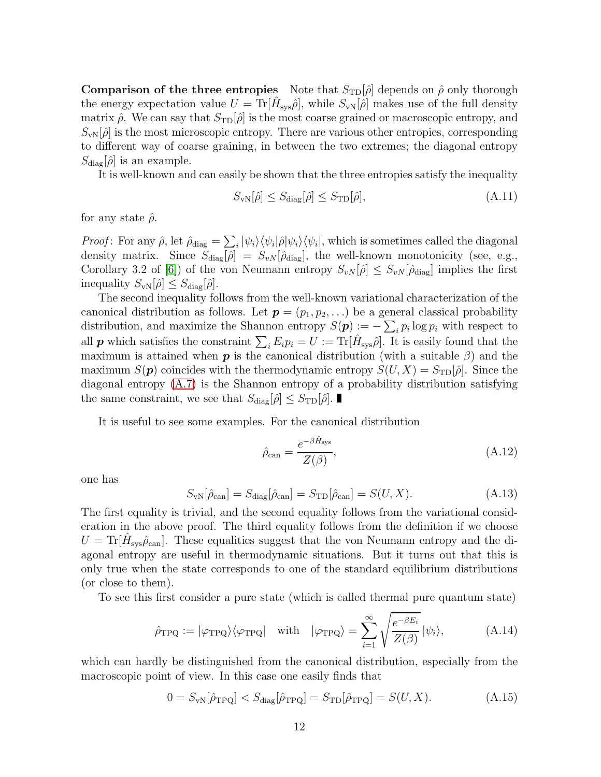**Comparison of the three entropies** Note that  $S_{\text{TD}}[\hat{\rho}]$  depends on  $\hat{\rho}$  only thorough the energy expectation value  $U = \text{Tr}[\hat{H}_{\text{sys}}\hat{\rho}],$  while  $S_{\text{vN}}[\hat{\rho}]$  makes use of the full density matrix  $\hat{\rho}$ . We can say that  $S_{\text{TD}}[\hat{\rho}]$  is the most coarse grained or macroscopic entropy, and  $S_{\rm vN}[\hat{\rho}]$  is the most microscopic entropy. There are various other entropies, corresponding to different way of coarse graining, in between the two extremes; the diagonal entropy  $S_{\text{diag}}[\hat{\rho}]$  is an example.

It is well-known and can easily be shown that the three entropies satisfy the inequality

<span id="page-11-2"></span>
$$
S_{\rm vN}[\hat{\rho}] \le S_{\rm diag}[\hat{\rho}] \le S_{\rm TD}[\hat{\rho}],\tag{A.11}
$$

for any state  $\hat{\rho}$ .

*Proof*: For any  $\hat{\rho}$ , let  $\hat{\rho}_{\text{diag}} = \sum_{i} |\psi_i\rangle\langle\psi_i|\hat{\rho}|\psi_i\rangle\langle\psi_i|$ , which is sometimes called the diagonal density matrix. Since  $S_{\text{diag}}[\hat{\rho}] = S_{vN}[\hat{\rho}_{\text{diag}}]$ , the well-known monotonicity (see, e.g., Corollary 3.2 of [\[6\]](#page-15-5)) of the von Neumann entropy  $S_{vN}[\hat{\rho}] \leq S_{vN}[\hat{\rho}_{\text{diag}}]$  implies the first inequality  $S_{\rm vN}[\hat{\rho}] \leq S_{\rm diag}[\hat{\rho}].$ 

The second inequality follows from the well-known variational characterization of the canonical distribution as follows. Let  $p = (p_1, p_2, \ldots)$  be a general classical probability distribution, and maximize the Shannon entropy  $S(\mathbf{p}) := -\sum_i p_i \log p_i$  with respect to all **p** which satisfies the constraint  $\sum_i E_i p_i = U := \text{Tr}[\hat{H}_{\text{sys}}\hat{\rho}]$ . It is easily found that the maximum is attained when **p** is the canonical distribution (with a suitable  $\beta$ ) and the maximum  $S(p)$  coincides with the thermodynamic entropy  $S(U, X) = S_{\text{TD}}(\hat{\rho})$ . Since the diagonal entropy [\(A.7\)](#page-10-1) is the Shannon entropy of a probability distribution satisfying the same constraint, we see that  $S_{\text{diag}}[\hat{\rho}] \leq S_{\text{TD}}[\hat{\rho}]$ .

It is useful to see some examples. For the canonical distribution

$$
\hat{\rho}_{\text{can}} = \frac{e^{-\beta \hat{H}_{\text{sys}}}}{Z(\beta)},\tag{A.12}
$$

one has

<span id="page-11-1"></span>
$$
S_{\rm vN}[\hat{\rho}_{\rm can}] = S_{\rm diag}[\hat{\rho}_{\rm can}] = S_{\rm TD}[\hat{\rho}_{\rm can}] = S(U, X). \tag{A.13}
$$

The first equality is trivial, and the second equality follows from the variational consideration in the above proof. The third equality follows from the definition if we choose  $U = \text{Tr}[\hat{H}_{\text{sys}}\hat{\rho}_{\text{can}}]$ . These equalities suggest that the von Neumann entropy and the diagonal entropy are useful in thermodynamic situations. But it turns out that this is only true when the state corresponds to one of the standard equilibrium distributions (or close to them).

To see this first consider a pure state (which is called thermal pure quantum state)

<span id="page-11-0"></span>
$$
\hat{\rho}_{\rm TPQ} := |\varphi_{\rm TPQ}\rangle \langle \varphi_{\rm TPQ}| \quad \text{with} \quad |\varphi_{\rm TPQ}\rangle = \sum_{i=1}^{\infty} \sqrt{\frac{e^{-\beta E_i}}{Z(\beta)}} |\psi_i\rangle, \tag{A.14}
$$

which can hardly be distinguished from the canonical distribution, especially from the macroscopic point of view. In this case one easily finds that

$$
0 = S_{\rm vN}[\hat{\rho}_{\rm TPQ}] < S_{\rm diag}[\hat{\rho}_{\rm TPQ}] = S_{\rm TD}[\hat{\rho}_{\rm TPQ}] = S(U, X). \tag{A.15}
$$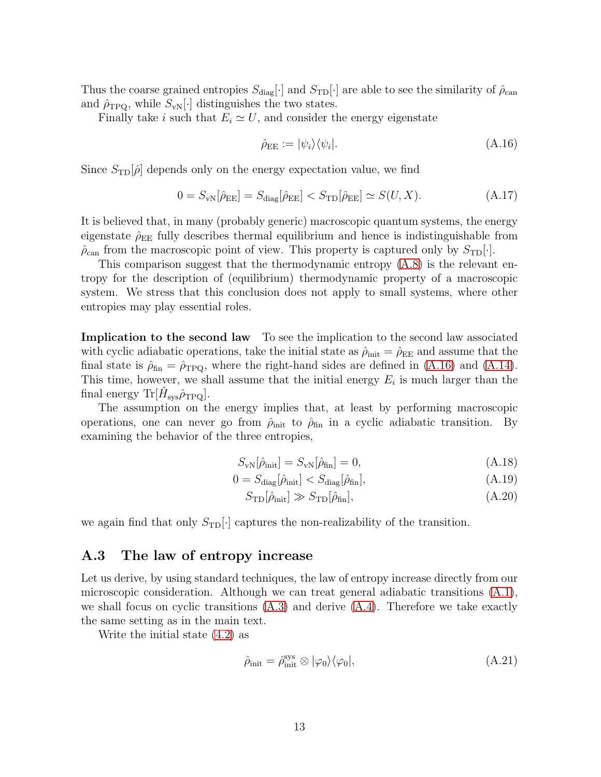Thus the coarse grained entropies  $S_{\text{diag}}[\cdot]$  and  $S_{\text{TD}}[\cdot]$  are able to see the similarity of  $\hat{\rho}_{\text{can}}$ and  $\hat{\rho}_{TPQ}$ , while  $S_{vN}[\cdot]$  distinguishes the two states.

Finally take i such that  $E_i \simeq U$ , and consider the energy eigenstate

<span id="page-12-1"></span>
$$
\hat{\rho}_{EE} := |\psi_i\rangle\langle\psi_i|.\tag{A.16}
$$

Since  $S_{\text{TD}}[\hat{\rho}]$  depends only on the energy expectation value, we find

$$
0 = S_{\rm vN}[\hat{\rho}_{\rm EE}] = S_{\rm diag}[\hat{\rho}_{\rm EE}] < S_{\rm TD}[\hat{\rho}_{\rm EE}] \simeq S(U, X). \tag{A.17}
$$

It is believed that, in many (probably generic) macroscopic quantum systems, the energy eigenstate  $\rho_{EE}$  fully describes thermal equilibrium and hence is indistinguishable from  $\hat{\rho}_{\text{can}}$  from the macroscopic point of view. This property is captured only by  $S_{\text{TD}}[\cdot]$ .

This comparison suggest that the thermodynamic entropy [\(A.8\)](#page-10-2) is the relevant entropy for the description of (equilibrium) thermodynamic property of a macroscopic system. We stress that this conclusion does not apply to small systems, where other entropies may play essential roles.

Implication to the second law To see the implication to the second law associated with cyclic adiabatic operations, take the initial state as  $\hat{\rho}_{init} = \hat{\rho}_{EE}$  and assume that the final state is  $\hat{\rho}_{fin} = \hat{\rho}_{TPQ}$ , where the right-hand sides are defined in [\(A.16\)](#page-12-1) and [\(A.14\)](#page-11-0). This time, however, we shall assume that the initial energy  $E_i$  is much larger than the final energy Tr $[\hat{H}_\text{sys} \hat{\rho}_\text{TPQ}].$ 

The assumption on the energy implies that, at least by performing macroscopic operations, one can never go from  $\hat{\rho}_{init}$  to  $\hat{\rho}_{fin}$  in a cyclic adiabatic transition. By examining the behavior of the three entropies,

$$
S_{\rm vN}[\hat{\rho}_{\rm init}] = S_{\rm vN}[\hat{\rho}_{\rm fin}] = 0, \tag{A.18}
$$

$$
0 = S_{\text{diag}}[\hat{\rho}_{\text{init}}] < S_{\text{diag}}[\hat{\rho}_{\text{fin}}],\tag{A.19}
$$

$$
S_{\rm TD}[\hat{\rho}_{\rm init}] \gg S_{\rm TD}[\hat{\rho}_{\rm fin}],\tag{A.20}
$$

we again find that only  $S_{\text{TD}}\left\vert \cdot\right\vert$  captures the non-realizability of the transition.

#### <span id="page-12-0"></span>A.3 The law of entropy increase

Let us derive, by using standard techniques, the law of entropy increase directly from our microscopic consideration. Although we can treat general adiabatic transitions [\(A.1\)](#page-9-2), we shall focus on cyclic transitions  $(A.3)$  and derive  $(A.4)$ . Therefore we take exactly the same setting as in the main text.

Write the initial state [\(4.2\)](#page-4-2) as

$$
\hat{\rho}_{\text{init}} = \hat{\rho}_{\text{init}}^{\text{sys}} \otimes |\varphi_0\rangle\langle\varphi_0|,\tag{A.21}
$$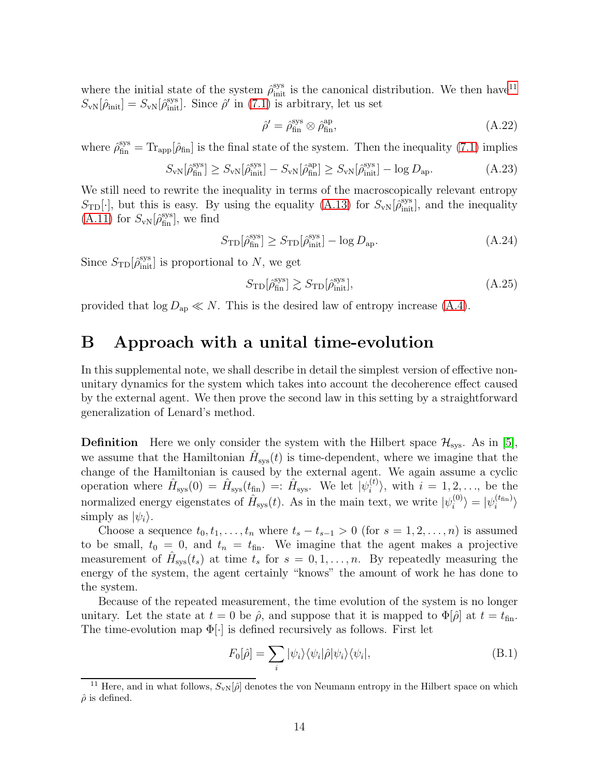where the initial state of the system  $\hat{\rho}_{\text{init}}^{\text{sys}}$  is the canonical distribution. We then have<sup>[11](#page-13-1)</sup>  $S_{\text{vN}}[\hat{\rho}_{\text{init}}] = S_{\text{vN}}[\hat{\rho}_{\text{init}}^{\text{sys}}]$ . Since  $\hat{\rho}'$  in [\(7.1\)](#page-7-3) is arbitrary, let us set

$$
\hat{\rho}' = \hat{\rho}_{\text{fin}}^{\text{sys}} \otimes \hat{\rho}_{\text{fin}}^{\text{ap}},\tag{A.22}
$$

where  $\hat{\rho}_{fin}^{sys} = Tr_{app}[\hat{\rho}_{fin}]$  is the final state of the system. Then the inequality [\(7.1\)](#page-7-3) implies

$$
S_{\rm vN}[\hat{\rho}_{\rm fin}^{\rm sys}] \ge S_{\rm vN}[\hat{\rho}_{\rm init}^{\rm sys}] - S_{\rm vN}[\hat{\rho}_{\rm fin}^{\rm ap}] \ge S_{\rm vN}[\hat{\rho}_{\rm init}^{\rm sys}] - \log D_{\rm ap}.
$$
 (A.23)

We still need to rewrite the inequality in terms of the macroscopically relevant entropy  $S_{\text{TD}}[\cdot]$ , but this is easy. By using the equality [\(A.13\)](#page-11-1) for  $S_{\text{vN}}[\hat{\rho}_{\text{init}}^{\text{sys}}]$ , and the inequality  $(A.11)$  for  $S_{\text{vN}}[\hat{\rho}_{\text{fin}}^{\text{sys}}]$ , we find

$$
S_{\rm TD}[\hat{\rho}_{\rm fin}^{\rm sys}] \ge S_{\rm TD}[\hat{\rho}_{\rm init}^{\rm sys}] - \log D_{\rm ap}.\tag{A.24}
$$

Since  $S_{\text{TD}}[\hat{\rho}_{\text{init}}^{\text{sys}}]$  is proportional to N, we get

$$
S_{\rm TD}[\hat{\rho}_{\rm fin}^{\rm sys}] \gtrsim S_{\rm TD}[\hat{\rho}_{\rm init}^{\rm sys}],\tag{A.25}
$$

<span id="page-13-0"></span>provided that  $\log D_{\rm ap} \ll N$ . This is the desired law of entropy increase [\(A.4\)](#page-9-4).

### B Approach with a unital time-evolution

In this supplemental note, we shall describe in detail the simplest version of effective nonunitary dynamics for the system which takes into account the decoherence effect caused by the external agent. We then prove the second law in this setting by a straightforward generalization of Lenard's method.

**Definition** Here we only consider the system with the Hilbert space  $\mathcal{H}_{sys}$ . As in [\[5\]](#page-15-4), we assume that the Hamiltonian  $\hat{H}_{\text{sys}}(t)$  is time-dependent, where we imagine that the change of the Hamiltonian is caused by the external agent. We again assume a cyclic operation where  $\hat{H}_{\text{sys}}(0) = \hat{H}_{\text{sys}}(t_{\text{fin}}) =: \hat{H}_{\text{sys}}$ . We let  $|\psi_i^{(t)}|$  $\langle i^{(i)} \rangle$ , with  $i = 1, 2, \ldots$ , be the normalized energy eigenstates of  $\hat{H}_{\text{sys}}(t)$ . As in the main text, we write  $|\psi_i^{(0)}\rangle$  $\ket{i}^{(0)} = \ket{\psi_i^{(t_{\text{fin}})}}$  $\binom{1}{i}$ simply as  $|\psi_i\rangle$ .

Choose a sequence  $t_0, t_1, \ldots, t_n$  where  $t_s - t_{s-1} > 0$  (for  $s = 1, 2, \ldots, n$ ) is assumed to be small,  $t_0 = 0$ , and  $t_n = t_{fin}$ . We imagine that the agent makes a projective measurement of  $\hat{H}_{\text{sys}}(t_s)$  at time  $t_s$  for  $s = 0, 1, \ldots, n$ . By repeatedly measuring the energy of the system, the agent certainly "knows" the amount of work he has done to the system.

Because of the repeated measurement, the time evolution of the system is no longer unitary. Let the state at  $t = 0$  be  $\hat{\rho}$ , and suppose that it is mapped to  $\Phi[\hat{\rho}]$  at  $t = t_{fin}$ . The time-evolution map  $\Phi[\cdot]$  is defined recursively as follows. First let

$$
F_0[\hat{\rho}] = \sum_i |\psi_i\rangle\langle\psi_i|\hat{\rho}|\psi_i\rangle\langle\psi_i|,\tag{B.1}
$$

<span id="page-13-1"></span><sup>&</sup>lt;sup>11</sup> Here, and in what follows,  $S_{\rm vN}[\hat{\rho}]$  denotes the von Neumann entropy in the Hilbert space on which  $\hat{\rho}$  is defined.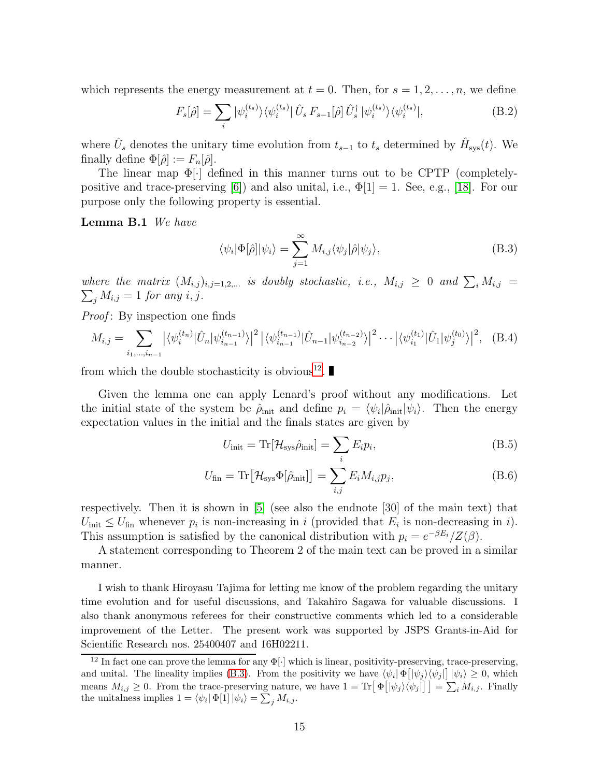which represents the energy measurement at  $t = 0$ . Then, for  $s = 1, 2, \ldots, n$ , we define

$$
F_s[\hat{\rho}] = \sum_i |\psi_i^{(t_s)}\rangle \langle \psi_i^{(t_s)}| \hat{U}_s F_{s-1}[\hat{\rho}] \hat{U}_s^{\dagger} |\psi_i^{(t_s)}\rangle \langle \psi_i^{(t_s)}|,
$$
(B.2)

where  $\hat{U}_s$  denotes the unitary time evolution from  $t_{s-1}$  to  $t_s$  determined by  $\hat{H}_{\text{sys}}(t)$ . We finally define  $\Phi[\hat{\rho}] := F_n[\hat{\rho}].$ 

The linear map Φ[·] defined in this manner turns out to be CPTP (completely-positive and trace-preserving [\[6\]](#page-15-5)) and also unital, i.e.,  $\Phi[1] = 1$ . See, e.g., [\[18\]](#page-16-9). For our purpose only the following property is essential.

Lemma B.1 We have

<span id="page-14-1"></span>
$$
\langle \psi_i | \Phi[\hat{\rho}] | \psi_i \rangle = \sum_{j=1}^{\infty} M_{i,j} \langle \psi_j | \hat{\rho} | \psi_j \rangle, \tag{B.3}
$$

where the matrix  $(M_{i,j})_{i,j=1,2,...}$  is doubly stochastic, i.e.,  $M_{i,j} \geq 0$  and  $\sum_i M_{i,j} =$  $\sum_j M_{i,j} = 1$  for any i, j.

*Proof*: By inspection one finds

$$
M_{i,j} = \sum_{i_1,\dots,i_{n-1}} \left| \langle \psi_i^{(t_n)} | \hat{U}_n | \psi_{i_{n-1}}^{(t_{n-1})} \rangle \right|^2 \left| \langle \psi_{i_{n-1}}^{(t_{n-1})} | \hat{U}_{n-1} | \psi_{i_{n-2}}^{(t_{n-2})} \rangle \right|^2 \cdots \left| \langle \psi_{i_1}^{(t_1)} | \hat{U}_1 | \psi_j^{(t_0)} \rangle \right|^2, \quad (B.4)
$$

from which the double stochasticity is obvious<sup>[12](#page-14-0)</sup>.

Given the lemma one can apply Lenard's proof without any modifications. Let the initial state of the system be  $\hat{\rho}_{init}$  and define  $p_i = \langle \psi_i | \hat{\rho}_{init} | \psi_i \rangle$ . Then the energy expectation values in the initial and the finals states are given by

$$
U_{\text{init}} = \text{Tr}[\mathcal{H}_{\text{sys}}\hat{\rho}_{\text{init}}] = \sum_{i} E_{i}p_{i},\tag{B.5}
$$

$$
U_{\text{fin}} = \text{Tr}\left[\mathcal{H}_{\text{sys}}\Phi[\hat{\rho}_{\text{init}}]\right] = \sum_{i,j} E_i M_{i,j} p_j,\tag{B.6}
$$

respectively. Then it is shown in [\[5\]](#page-15-4) (see also the endnote [30] of the main text) that  $U_{\text{init}} \leq U_{\text{fin}}$  whenever  $p_i$  is non-increasing in i (provided that  $E_i$  is non-decreasing in i). This assumption is satisfied by the canonical distribution with  $p_i = e^{-\beta E_i}/Z(\beta)$ .

A statement corresponding to Theorem 2 of the main text can be proved in a similar manner.

I wish to thank Hiroyasu Tajima for letting me know of the problem regarding the unitary time evolution and for useful discussions, and Takahiro Sagawa for valuable discussions. I also thank anonymous referees for their constructive comments which led to a considerable improvement of the Letter. The present work was supported by JSPS Grants-in-Aid for Scientific Research nos. 25400407 and 16H02211.

<span id="page-14-0"></span><sup>&</sup>lt;sup>12</sup> In fact one can prove the lemma for any  $\Phi[\cdot]$  which is linear, positivity-preserving, trace-preserving, and unital. The lineality implies [\(B.3\)](#page-14-1). From the positivity we have  $\langle \psi_i | \Phi [|\psi_j\rangle \langle \psi_j |] | \psi_i \rangle \ge 0$ , which means  $M_{i,j} \geq 0$ . From the trace-preserving nature, we have  $1 = \text{Tr}[\Phi[|\psi_j\rangle \langle \psi_j|]] = \sum_i M_{i,j}$ . Finally the unitalness implies  $1 = \langle \psi_i | \Phi[1] | \psi_i \rangle = \sum_j M_{i,j}$ .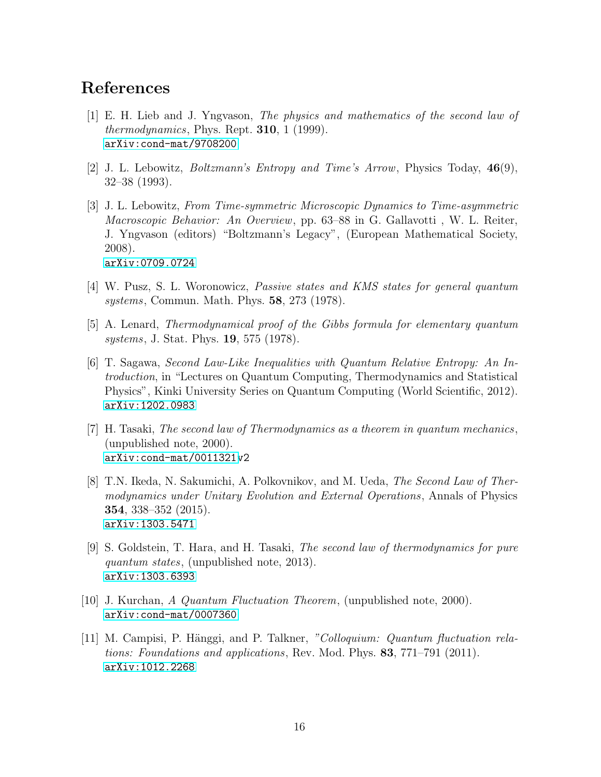## <span id="page-15-0"></span>References

- [1] E. H. Lieb and J. Yngvason, The physics and mathematics of the second law of *thermodynamics*, Phys. Rept.  $310$ , 1 (1999). [arXiv:cond-mat/9708200](http://arxiv.org/abs/cond-mat/9708200)
- <span id="page-15-2"></span><span id="page-15-1"></span>[2] J. L. Lebowitz, Boltzmann's Entropy and Time's Arrow, Physics Today, 46(9), 32–38 (1993).
- [3] J. L. Lebowitz, From Time-symmetric Microscopic Dynamics to Time-asymmetric Macroscopic Behavior: An Overview, pp. 63–88 in G. Gallavotti , W. L. Reiter, J. Yngvason (editors) "Boltzmann's Legacy", (European Mathematical Society, 2008). [arXiv:0709.0724](http://arxiv.org/abs/0709.0724)
- <span id="page-15-3"></span>[4] W. Pusz, S. L. Woronowicz, Passive states and KMS states for general quantum systems, Commun. Math. Phys. 58, 273 (1978).
- <span id="page-15-4"></span>[5] A. Lenard, Thermodynamical proof of the Gibbs formula for elementary quantum systems, J. Stat. Phys. 19, 575 (1978).
- <span id="page-15-5"></span>[6] T. Sagawa, Second Law-Like Inequalities with Quantum Relative Entropy: An Introduction, in "Lectures on Quantum Computing, Thermodynamics and Statistical Physics", Kinki University Series on Quantum Computing (World Scientific, 2012). [arXiv:1202.0983](http://arxiv.org/abs/1202.0983)
- <span id="page-15-8"></span>[7] H. Tasaki, The second law of Thermodynamics as a theorem in quantum mechanics, (unpublished note, 2000). [arXiv:cond-mat/0011321v](http://arxiv.org/abs/cond-mat/0011321)2
- <span id="page-15-9"></span>[8] T.N. Ikeda, N. Sakumichi, A. Polkovnikov, and M. Ueda, The Second Law of Thermodynamics under Unitary Evolution and External Operations, Annals of Physics 354, 338–352 (2015). [arXiv:1303.5471](http://arxiv.org/abs/1303.5471)
- <span id="page-15-10"></span>[9] S. Goldstein, T. Hara, and H. Tasaki, The second law of thermodynamics for pure quantum states, (unpublished note, 2013). [arXiv:1303.6393](http://arxiv.org/abs/1303.6393)
- <span id="page-15-7"></span><span id="page-15-6"></span>[10] J. Kurchan, A Quantum Fluctuation Theorem, (unpublished note, 2000). [arXiv:cond-mat/0007360](http://arxiv.org/abs/cond-mat/0007360)
- [11] M. Campisi, P. Hänggi, and P. Talkner, "Colloquium: Quantum fluctuation relations: Foundations and applications, Rev. Mod. Phys. 83, 771–791 (2011). [arXiv:1012.2268](http://arxiv.org/abs/1012.2268)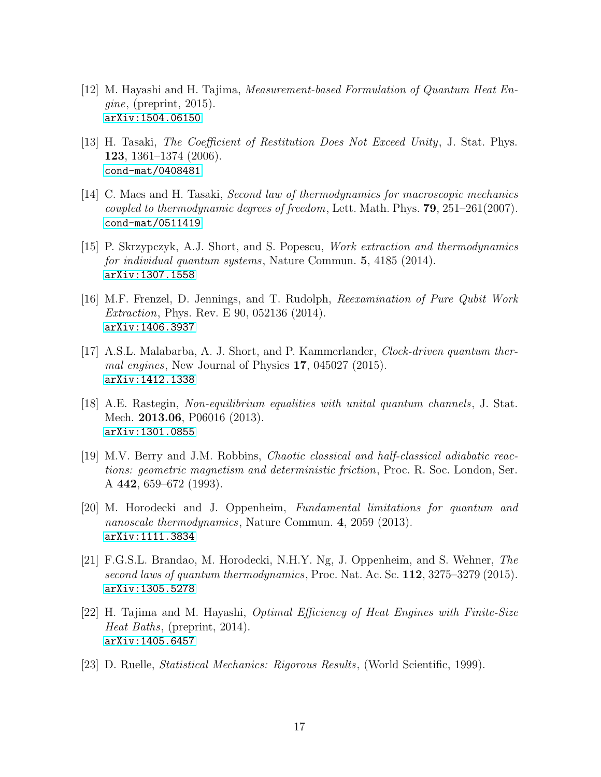- <span id="page-16-0"></span> $[12]$  M. Hayashi and H. Tajima, *Measurement-based Formulation of Quantum Heat En*gine, (preprint, 2015). [arXiv:1504.06150](http://arxiv.org/abs/1504.06150)
- <span id="page-16-1"></span>[13] H. Tasaki, The Coefficient of Restitution Does Not Exceed Unity, J. Stat. Phys. 123, 1361–1374 (2006). [cond-mat/0408481](http://arxiv.org/abs/cond-mat/0408481)
- <span id="page-16-2"></span>[14] C. Maes and H. Tasaki, Second law of thermodynamics for macroscopic mechanics coupled to thermodynamic degrees of freedom, Lett. Math. Phys.  $79, 251-261(2007)$ . [cond-mat/0511419](http://arxiv.org/abs/cond-mat/0511419)
- <span id="page-16-3"></span>[15] P. Skrzypczyk, A.J. Short, and S. Popescu, Work extraction and thermodynamics for individual quantum systems, Nature Commun. 5, 4185 (2014). [arXiv:1307.1558](http://arxiv.org/abs/1307.1558)
- <span id="page-16-4"></span>[16] M.F. Frenzel, D. Jennings, and T. Rudolph, Reexamination of Pure Qubit Work Extraction, Phys. Rev. E 90, 052136 (2014). [arXiv:1406.3937](http://arxiv.org/abs/1406.3937)
- <span id="page-16-5"></span>[17] A.S.L. Malabarba, A. J. Short, and P. Kammerlander, Clock-driven quantum thermal engines, New Journal of Physics 17, 045027 (2015). [arXiv:1412.1338](http://arxiv.org/abs/1412.1338)
- <span id="page-16-9"></span>[18] A.E. Rastegin, Non-equilibrium equalities with unital quantum channels, J. Stat. Mech. 2013.06, P06016 (2013). [arXiv:1301.0855](http://arxiv.org/abs/1301.0855)
- <span id="page-16-10"></span>[19] M.V. Berry and J.M. Robbins, Chaotic classical and half-classical adiabatic reactions: geometric magnetism and deterministic friction, Proc. R. Soc. London, Ser. A 442, 659–672 (1993).
- <span id="page-16-6"></span>[20] M. Horodecki and J. Oppenheim, Fundamental limitations for quantum and nanoscale thermodynamics, Nature Commun. 4, 2059 (2013). [arXiv:1111.3834](http://arxiv.org/abs/1111.3834)
- <span id="page-16-7"></span>[21] F.G.S.L. Brandao, M. Horodecki, N.H.Y. Ng, J. Oppenheim, and S. Wehner, The second laws of quantum thermodynamics, Proc. Nat. Ac. Sc. 112, 3275–3279 (2015). [arXiv:1305.5278](http://arxiv.org/abs/1305.5278)
- <span id="page-16-8"></span> $[22]$  H. Tajima and M. Hayashi, *Optimal Efficiency of Heat Engines with Finite-Size* Heat Baths, (preprint, 2014). [arXiv:1405.6457](http://arxiv.org/abs/1405.6457)
- <span id="page-16-11"></span>[23] D. Ruelle, Statistical Mechanics: Rigorous Results, (World Scientific, 1999).